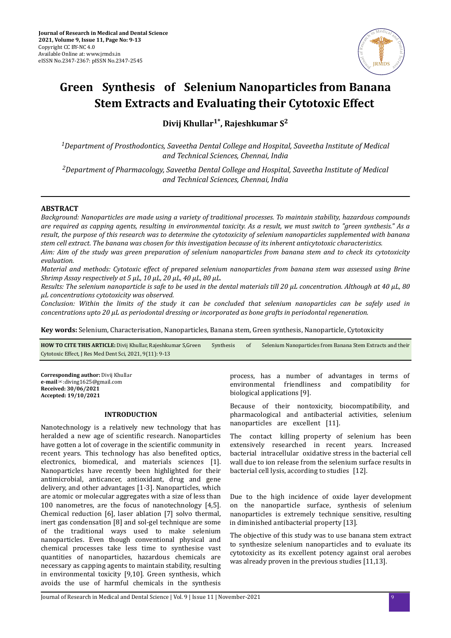

# **Green Synthesis of Selenium Nanoparticles from Banana Stem Extracts and Evaluating their Cytotoxic Effect**

**Divij Khullar1\*, Rajeshkumar S<sup>2</sup>**

*<sup>1</sup>Department of Prosthodontics, Saveetha Dental College and Hospital, Saveetha Institute of Medical and Technical Sciences, Chennai, India*

*<sup>2</sup>Department of Pharmacology, Saveetha Dental College and Hospital, Saveetha Institute of Medical and Technical Sciences, Chennai, India*

## **ABSTRACT**

*Background: Nanoparticles are made using a variety of traditional processes. To maintain stability, hazardous compounds are required as capping agents, resulting in environmental toxicity. As a result, we must switch to "green synthesis." As a result, the purpose of this research was to determine the cytotoxicity of selenium nanoparticles supplemented with banana stem cell extract. The banana was chosen for this investigation because of its inherent anticytotoxic characteristics.*

*Aim: Aim of the study was green preparation of selenium nanoparticles from banana stem and to check its cytotoxicity evaluation.*

*Material and methods: Cytotoxic effect of prepared selenium nanoparticles from banana stem was assessed using Brine Shrimp Assay respectively at 5 µL, 10 µL, 20 µL, 40 µL, 80 µL.*

*Results: The selenium nanoparticle is safe to be used in the dental materials till 20 µL concentration. Although at 40 µL, 80 µL concentrations cytotoxicity was observed.*

*Conclusion: Within the limits of the study it can be concluded that selenium nanoparticles can be safely used in concentrations upto 20 µL as periodontal dressing or incorporated as bone grafts in periodontal regeneration.*

**Key words:** Selenium, Characterisation, Nanoparticles, Banana stem, Green synthesis, Nanoparticle, Cytotoxicity

| <b>HOW TO CITE THIS ARTICLE:</b> Divij Khullar, Rajeshkumar S, Green | Synthesis | Selenium Nanoparticles from Banana Stem Extracts and their |
|----------------------------------------------------------------------|-----------|------------------------------------------------------------|
| Cytotoxic Effect, J Res Med Dent Sci, 2021, 9(11): 9-13              |           |                                                            |

**Corresponding author:** Divij Khullar **e-mail**✉:diving1625@gmail.com **Received: 30/06/2021 Accepted: 19/10/2021** 

#### **INTRODUCTION**

Nanotechnology is a relatively new technology that has heralded a new age of scientific research. Nanoparticles have gotten a lot of coverage in the scientific community in recent years. This technology has also benefited optics, electronics, biomedical, and materials sciences [1]. Nanoparticles have recently been highlighted for their antimicrobial, anticancer, antioxidant, drug and gene delivery, and other advantages [1-3]. Nanoparticles, which are atomic or molecular aggregates with a size of less than 100 nanometres, are the focus of nanotechnology [4,5]. Chemical reduction [6], laser ablation [7] solvo thermal, inert gas condensation [8] and sol-gel technique are some of the traditional ways used to make selenium nanoparticles. Even though conventional physical and chemical processes take less time to synthesise vast quantities of nanoparticles, hazardous chemicals are necessary as capping agents to maintain stability, resulting in environmental toxicity [9,10]. Green synthesis, which avoids the use of harmful chemicals in the synthesis

process, has a number of advantages in terms of environmental friendliness and compatibility for biological applications [9].

Because of their nontoxicity, biocompatibility, and pharmacological and antibacterial activities, selenium nanoparticles are excellent [11].

The contact killing property of selenium has been extensively researched in recent years. Increased bacterial intracellular oxidative stress in the bacterial cell wall due to ion release from the selenium surface results in bacterial cell lysis, according to studies [12].

Due to the high incidence of oxide layer development on the nanoparticle surface, synthesis of selenium nanoparticles is extremely technique sensitive, resulting in diminished antibacterial property [13].

The objective of this study was to use banana stem extract to synthesize selenium nanoparticles and to evaluate its cytotoxicity as its excellent potency against oral aerobes was already proven in the previous studies [11,13].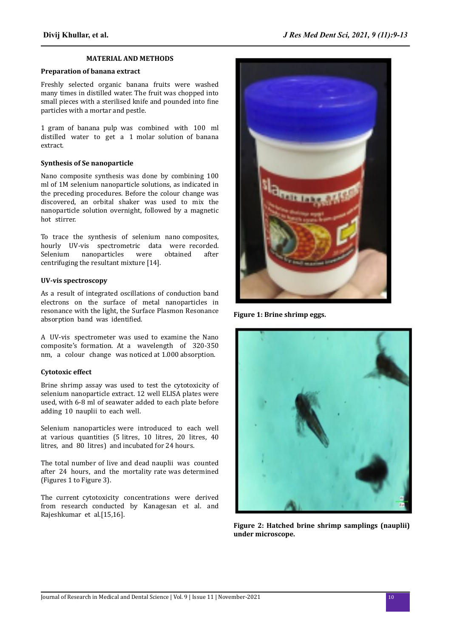#### **MATERIAL AND METHODS**

## **Preparation of banana extract**

Freshly selected organic banana fruits were washed many times in distilled water. The fruit was chopped into small pieces with a sterilised knife and pounded into fine particles with a mortar and pestle.

1 gram of banana pulp was combined with 100 ml distilled water to get a 1 molar solution of banana extract.

### **Synthesis of Se nanoparticle**

Nano composite synthesis was done by combining 100 ml of 1M selenium nanoparticle solutions, as indicated in the preceding procedures. Before the colour change was discovered, an orbital shaker was used to mix the nanoparticle solution overnight, followed by a magnetic hot stirrer.

To trace the synthesis of selenium nano composites, hourly UV-vis spectrometric data were recorded. Selenium nanoparticles were obtained after centrifuging the resultant mixture [14].

### **UV-vis spectroscopy**

As a result of integrated oscillations of conduction band electrons on the surface of metal nanoparticles in resonance with the light, the Surface Plasmon Resonance absorption band was identified.

A UV-vis spectrometer was used to examine the Nano composite's formation. At a wavelength of 320-350 nm, a colour change was noticed at 1.000 absorption.

## **Cytotoxic effect**

Brine shrimp assay was used to test the cytotoxicity of selenium nanoparticle extract. 12 well ELISA plates were used, with 6-8 ml of seawater added to each plate before adding 10 nauplii to each well.

Selenium nanoparticles were introduced to each well at various quantities (5 litres, 10 litres, 20 litres, 40 litres, and 80 litres) and incubated for 24 hours.

The total number of live and dead nauplii was counted after 24 hours, and the mortality rate was determined (Figures 1 to Figure 3).

The current cytotoxicity concentrations were derived from research conducted by Kanagesan et al. and Rajeshkumar et al.[15,16].



**Figure 1: Brine shrimp eggs.**



**Figure 2: Hatched brine shrimp samplings (nauplii) under microscope.**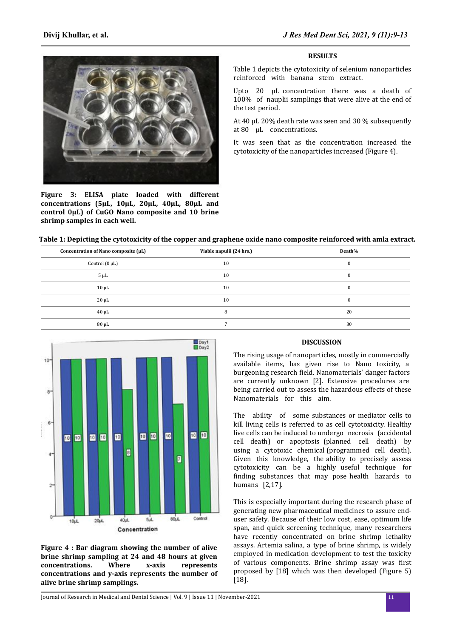

**Figure 3: ELISA plate loaded with different concentrations (5µL, 10µL, 20µL, 40µL, 80µL and control 0µL) of CuGO Nano composite and 10 brine shrimp samples in each well.**

#### **RESULTS**

Table 1 depicts the cytotoxicity of selenium nanoparticles reinforced with banana stem extract.

Upto 20 µL concentration there was a death of 100% of nauplii samplings that were alive at the end of the test period.

At 40 µL 20% death rate was seen and 30 % subsequently at 80 µL concentrations.

It was seen that as the concentration increased the cytotoxicity of the nanoparticles increased (Figure 4).

## **Table 1: Depicting the cytotoxicity of the copper and graphene oxide nano composite reinforced with amla extract.**

| Concentration of Nano composite (µL) | Viable napulii (24 hrs.) | Death%   |
|--------------------------------------|--------------------------|----------|
| Control $(0 \mu L)$                  | 10                       | $\bf{0}$ |
| $5 \mu L$                            | 10                       | $\bf{0}$ |
| $10 \mu L$                           | 10                       | $\bf{0}$ |
| $20 \mu L$                           | 10                       | $\bf{0}$ |
| $40 \mu L$                           | 8                        | 20       |
| $80 \mu L$                           |                          | 30       |



**Figure 4 : Bar diagram showing the number of alive brine shrimp sampling at 24 and 48 hours at given concentrations. Where x-axis represents concentrations and y-axis represents the number of alive brine shrimp samplings.**

#### **DISCUSSION**

The rising usage of nanoparticles, mostly in commercially available items, has given rise to Nano toxicity, a burgeoning research field. Nanomaterials' danger factors are currently unknown [2]. Extensive procedures are being carried out to assess the hazardous effects of these Nanomaterials for this aim.

The ability of some substances or mediator cells to kill living cells is referred to as cell cytotoxicity. Healthy live cells can be induced to undergo necrosis (accidental cell death) or apoptosis (planned cell death) by using a cytotoxic chemical (programmed cell death). Given this knowledge, the ability to precisely assess cytotoxicity can be a highly useful technique for finding substances that may pose health hazards to humans [2,17].

This is especially important during the research phase of generating new pharmaceutical medicines to assure enduser safety. Because of their low cost, ease, optimum life span, and quick screening technique, many researchers have recently concentrated on brine shrimp lethality assays. Artemia salina, a type of brine shrimp, is widely employed in medication development to test the toxicity of various components. Brine shrimp assay was first proposed by [18] which was then developed (Figure 5) [18].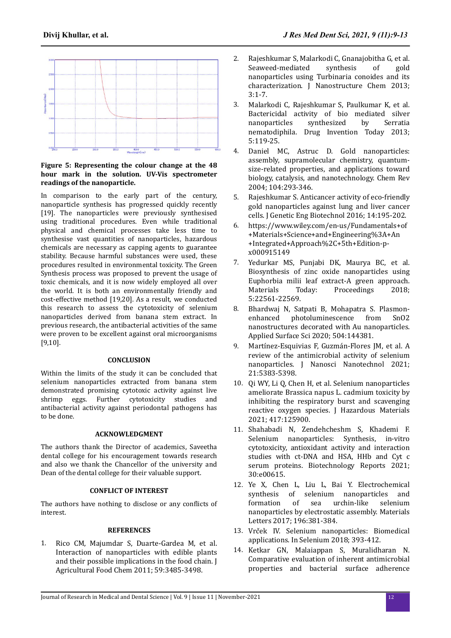

## **Figure 5: Representing the colour change at the 48 hour mark in the solution. UV-Vis spectrometer readings of the nanoparticle.**

In comparison to the early part of the century, nanoparticle synthesis has progressed quickly recently [19]. The nanoparticles were previously synthesised using traditional procedures. Even while traditional physical and chemical processes take less time to synthesise vast quantities of nanoparticles, hazardous chemicals are necessary as capping agents to guarantee stability. Because harmful substances were used, these procedures resulted in environmental toxicity. The Green Synthesis process was proposed to prevent the usage of toxic chemicals, and it is now widely employed all over the world. It is both an environmentally friendly and cost-effective method [19,20]. As a result, we conducted this research to assess the cytotoxicity of selenium nanoparticles derived from banana stem extract. In previous research, the antibacterial activities of the same were proven to be excellent against oral microorganisms [9,10].

## **CONCLUSION**

Within the limits of the study it can be concluded that selenium nanoparticles extracted from banana stem demonstrated promising cytotoxic activity against live shrimp eggs. Further cytotoxicity studies and antibacterial activity against periodontal pathogens has to be done.

#### **ACKNOWLEDGMENT**

The authors thank the Director of academics, Saveetha dental college for his encouragement towards research and also we thank the Chancellor of the university and Dean of the dental college for their valuable support.

## **CONFLICT OF INTEREST**

The authors have nothing to disclose or any conflicts of interest.

## **REFERENCES**

1. [Rico CM, Majumdar S, Duarte-Gardea M, et al.](https://doi.org/10.1021/jf104517j) [Interaction of nanoparticles with edible plants](https://doi.org/10.1021/jf104517j) [and their possible implications in the food chain. J](https://doi.org/10.1021/jf104517j) [Agricultural Food Chem 2011; 59:3485-3498.](https://doi.org/10.1021/jf104517j)

- 2. [Rajeshkumar S, Malarkodi C, Gnanajobitha G, et al.](https://doi.org/10.1186/2193-8865-3-44) [Seaweed-mediated synthesis of gold](https://doi.org/10.1186/2193-8865-3-44) [nanoparticles using Turbinaria conoides and its](https://doi.org/10.1186/2193-8865-3-44) [characterization. J Nanostructure Chem 2013;](https://doi.org/10.1186/2193-8865-3-44) [3:1-7.](https://doi.org/10.1186/2193-8865-3-44)
- 3. [Malarkodi C, Rajeshkumar S, Paulkumar K, et al.](https://doi.org/10.1016/j.dit.2013.05.005) [Bactericidal activity of bio mediated silver](https://doi.org/10.1016/j.dit.2013.05.005) [nanoparticles synthesized by Serratia](https://doi.org/10.1016/j.dit.2013.05.005) [nematodiphila. Drug Invention Today 2013;](https://doi.org/10.1016/j.dit.2013.05.005) [5:119-25.](https://doi.org/10.1016/j.dit.2013.05.005)
- [Daniel MC, Astruc D. Gold nanoparticles:](https://doi.org/10.1002/chin.200416213) [assembly, supramolecular chemistry, quantum](https://doi.org/10.1002/chin.200416213)[size-related properties, and applications toward](https://doi.org/10.1002/chin.200416213) [biology, catalysis, and nanotechnology. Chem Rev](https://doi.org/10.1002/chin.200416213) [2004; 104:293-346.](https://doi.org/10.1002/chin.200416213)
- 5. [Rajeshkumar S. Anticancer activity of eco-friendly](https://doi.org/10.1016/j.jgeb.2016.05.007) [gold nanoparticles against lung and liver cancer](https://doi.org/10.1016/j.jgeb.2016.05.007) [cells. J Genetic Eng Biotechnol 2016; 14:195-202.](https://doi.org/10.1016/j.jgeb.2016.05.007)
- 6. [https://www.wiley.com/en-us/Fundamentals+of](https://www.wiley.com/en-us/Fundamentals+of+Materials+Science+and+Engineering%3A+An+Integrated+Approach%2C+5th+Edition-p-x000915149) [+Materials+Science+and+Engineering%3A+An](https://www.wiley.com/en-us/Fundamentals+of+Materials+Science+and+Engineering%3A+An+Integrated+Approach%2C+5th+Edition-p-x000915149) [+Integrated+Approach%2C+5th+Edition-p](https://www.wiley.com/en-us/Fundamentals+of+Materials+Science+and+Engineering%3A+An+Integrated+Approach%2C+5th+Edition-p-x000915149)[x000915149](https://www.wiley.com/en-us/Fundamentals+of+Materials+Science+and+Engineering%3A+An+Integrated+Approach%2C+5th+Edition-p-x000915149)
- 7. [Yedurkar MS, Punjabi DK, Maurya BC, et al.](https://doi.org/10.1016/j.matpr.2018.06.629) [Biosynthesis of zinc oxide nanoparticles using](https://doi.org/10.1016/j.matpr.2018.06.629) [Euphorbia milii leaf extract-A green approach.](https://doi.org/10.1016/j.matpr.2018.06.629) [Materials Today: Proceedings 2018;](https://doi.org/10.1016/j.matpr.2018.06.629) [5:22561-22569.](https://doi.org/10.1016/j.matpr.2018.06.629)
- 8. [Bhardwaj N, Satpati B, Mohapatra S. Plasmon](https://doi.org/10.1016/j.apsusc.2019.144381)[enhanced photoluminescence from SnO2](https://doi.org/10.1016/j.apsusc.2019.144381) [nanostructures decorated with Au nanoparticles.](https://doi.org/10.1016/j.apsusc.2019.144381) [Applied Surface Sci 2020; 504:144381.](https://doi.org/10.1016/j.apsusc.2019.144381)
- 9. Martínez-Esquivias F, Guzmán-Flores JM, et al. A [review of the antimicrobial activity of selenium](https://doi.org/10.1166/jnn.2021.19471) [nanoparticles. J Nanosci Nanotechnol 2021;](https://doi.org/10.1166/jnn.2021.19471) [21:5383-5398.](https://doi.org/10.1166/jnn.2021.19471)
- 10. [Qi WY, Li Q, Chen H, et al. Selenium nanoparticles](https://doi.org/10.1016/j.jhazmat.2021.125900) [ameliorate Brassica napus L. cadmium toxicity by](https://doi.org/10.1016/j.jhazmat.2021.125900) [inhibiting the respiratory burst and scavenging](https://doi.org/10.1016/j.jhazmat.2021.125900) [reactive oxygen species. J Hazardous Materials](https://doi.org/10.1016/j.jhazmat.2021.125900) [2021; 417:125900.](https://doi.org/10.1016/j.jhazmat.2021.125900)
- 11. [Shahabadi N, Zendehcheshm S, Khademi F.](https://doi.org/10.1016/j.btre.2021.e00615) [Selenium nanoparticles: Synthesis, in-vitro](https://doi.org/10.1016/j.btre.2021.e00615) [cytotoxicity, antioxidant activity and interaction](https://doi.org/10.1016/j.btre.2021.e00615) [studies with ct-DNA and HSA, HHb and Cyt c](https://doi.org/10.1016/j.btre.2021.e00615) [serum proteins. Biotechnology Reports 2021;](https://doi.org/10.1016/j.btre.2021.e00615) [30:e00615.](https://doi.org/10.1016/j.btre.2021.e00615)
- 12. [Ye X, Chen L, Liu L, Bai Y. Electrochemical](https://doi.org/10.1016/j.matlet.2017.03.072) [synthesis of selenium nanoparticles and](https://doi.org/10.1016/j.matlet.2017.03.072) [formation of sea urchin-like selenium](https://doi.org/10.1016/j.matlet.2017.03.072) [nanoparticles by electrostatic assembly. Materials](https://doi.org/10.1016/j.matlet.2017.03.072) [Letters 2017; 196:381-384.](https://doi.org/10.1016/j.matlet.2017.03.072)
- 13. Vrček [IV. Selenium nanoparticles: Biomedical](https://link.springer.com/chapter/10.1007/978-3-319-95390-8_21) [applications. In Selenium 2018; 393-412.](https://link.springer.com/chapter/10.1007/978-3-319-95390-8_21)
- 14. [Ketkar GN, Malaiappan S, Muralidharan N.](https://doi.org/10.9734/jpri/2020/v32i1930721) [Comparative evaluation of inherent antimicrobial](https://doi.org/10.9734/jpri/2020/v32i1930721) [properties and bacterial surface adherence](https://doi.org/10.9734/jpri/2020/v32i1930721)